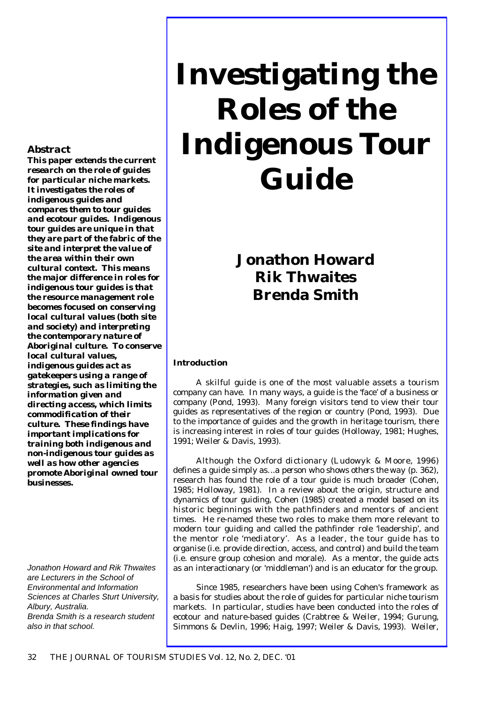# **Investigating the Roles of the Indigenous Tour Guide**

# **Jonathon Howard Rik Thwaites Brenda Smith**

### **Introduction**

A skilful guide is one of the most valuable assets a tourism company can have. In many ways, a guide is the 'face' of a business or company (Pond, 1993). Many foreign visitors tend to view their tour guides as representatives of the region or country (Pond, 1993). Due to the importance of guides and the growth in heritage tourism, there is increasing interest in roles of tour guides (Holloway, 1981; Hughes, 1991; Weiler & Davis, 1993).

Although the Oxford dictionary (Ludowyk & Moore, 1996) defines a guide simply as.*..a person who shows others the way* (p. 362), research has found the role of a tour guide is much broader (Cohen, 1985; Holloway, 1981). In a review about the origin, structure and dynamics of tour guiding, Cohen (1985) created a model based on its historic beginnings with the pathfinders and mentors of ancient times. He re-named these two roles to make them more relevant to modern tour guiding and called the pathfinder role 'leadership', and the mentor role 'mediatory'. As a leader, the tour guide has to organise (i.e. provide direction, access, and control) and build the team (i.e. ensure group cohesion and morale). As a mentor, the guide acts as an interactionary (or 'middleman') and is an educator for the group.

Since 1985, researchers have been using Cohen's framework as a basis for studies about the role of guides for particular niche tourism markets. In particular, studies have been conducted into the roles of ecotour and nature-based guides (Crabtree & Weiler, 1994; Gurung, Simmons & Devlin, 1996; Haig, 1997; Weiler & Davis, 1993). Weiler,

## *Abstract*

*This paper extends the current research on the role of guides for particular niche markets. It investigates the roles of indigenous guides and compares them to tour guides and ecotour guides. Indigenous tour guides are unique in that they are part of the fabric of the site and interpret the value of the area within their own cultural context. This means the major difference in roles for indigenous tour guides is that the resource management role becomes focused on conserving local cultural values (both site and society) and interpreting the contemporary nature of Aboriginal culture. To conserve local cultural values, indigenous guides act as gatekeepers using a range of strategies, such as limiting the information given and directing access, which limits commodification of their culture. These findings have important implications for training both indigenous and non-indigenous tour guides as well as how other agencies promote Aboriginal owned tour businesses.*

*Jonathon Howard and Rik Thwaites are Lecturers in the School of Environmental and Information Sciences at Charles Sturt University, Albury, Australia. Brenda Smith is a research student also in that school.*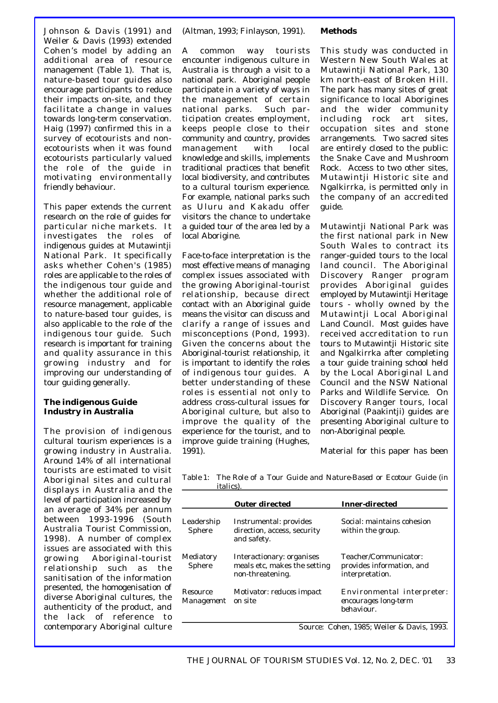Johnson & Davis (1991) and Weiler & Davis (1993) extended Cohen's model by adding an additional area of resource management (Table 1). That is, nature-based tour guides also encourage participants to reduce their impacts on-site, and they facilitate a change in values towards long-term conservation. Haig (1997) confirmed this in a survey of ecotourists and nonecotourists when it was found ecotourists particularly valued the role of the guide in motivating environmentally friendly behaviour.

This paper extends the current research on the role of guides for particular niche markets. It investigates the roles of indigenous guides at Mutawintji National Park. It specifically asks whether Cohen's (1985) roles are applicable to the roles of the indigenous tour guide and whether the additional role of resource management, applicable to nature-based tour guides, is also applicable to the role of the indigenous tour guide. Such research is important for training and quality assurance in this growing industry and for improving our understanding of tour guiding generally.

#### **The indigenous Guide Industry in Australia**

The provision of indigenous cultural tourism experiences is a growing industry in Australia. Around 14% of all international tourists are estimated to visit Aboriginal sites and cultural displays in Australia and the level of participation increased by an average of 34% per annum between 1993-1996 (South Australia Tourist Commission, 1998). A number of complex issues are associated with this growing Aboriginal-tourist relationship such as the sanitisation of the information presented, the homogenisation of diverse Aboriginal cultures, the authenticity of the product, and the lack of reference to contemporary Aboriginal culture

(Altman, 1993; Finlayson, 1991).

A common way tourists encounter indigenous culture in Australia is through a visit to a national park. Aboriginal people participate in a variety of ways in the management of certain national parks. Such participation creates employment, keeps people close to their community and country, provides management with local knowledge and skills, implements traditional practices that benefit local biodiversity, and contributes to a cultural tourism experience. For example, national parks such as Uluru and Kakadu offer visitors the chance to undertake a guided tour of the area led by a local Aborigine.

Face-to-face interpretation is the most effective means of managing complex issues associated with the growing Aboriginal-tourist relationship, because direct contact with an Aboriginal guide means the visitor can discuss and clarify a range of issues and misconceptions (Pond, 1993). Given the concerns about the Aboriginal-tourist relationship, it is important to identify the roles of indigenous tour guides. A better understanding of these roles is essential not only to address cross-cultural issues for Aboriginal culture, but also to improve the quality of the experience for the tourist, and to improve guide training (Hughes, 1991).

#### **Methods**

This study was conducted in Western New South Wales at Mutawintji National Park, 130 km north-east of Broken Hill. The park has many sites of great significance to local Aborigines and the wider community including rock art sites, occupation sites and stone arrangements. Two sacred sites are entirely closed to the public: the Snake Cave and Mushroom Rock. Access to two other sites, Mutawintji Historic site and Ngalkirrka, is permitted only in the company of an accredited guide.

Mutawintji National Park was the first national park in New South Wales to contract its ranger-guided tours to the local land council. The Aboriginal Discovery Ranger program provides Aboriginal guides employed by Mutawintji Heritage tours - wholly owned by the Mutawintji Local Aboriginal Land Council. Most guides have received accreditation to run tours to Mutawintji Historic site and Ngalkirrka after completing a tour guide training school held by the Local Aboriginal Land Council and the NSW National Parks and Wildlife Service. On Discovery Ranger tours, local Aboriginal (Paakintji) guides are presenting Aboriginal culture to non-Aboriginal people.

Material for this paper has been

*Table 1: The Role of a Tour Guide and Nature-Based or Ecotour Guide (in italics).*

|                               | <b>Outer directed</b>                                                         | <b>Inner-directed</b>                                                  |
|-------------------------------|-------------------------------------------------------------------------------|------------------------------------------------------------------------|
| Leadership<br>Sphere          | Instrumental: provides<br>direction, access, security<br>and safety.          | Social: maintains cohesion<br>within the group.                        |
| Mediatory<br>Sphere           | Interactionary: organises<br>meals etc, makes the setting<br>non-threatening. | Teacher/Communicator:<br>provides information, and<br>interpretation.  |
| Resource<br><i>Management</i> | <i>Motivator: reduces impact</i><br>on site                                   | Environmental interpreter:<br>encourages long-term<br><i>behaviour</i> |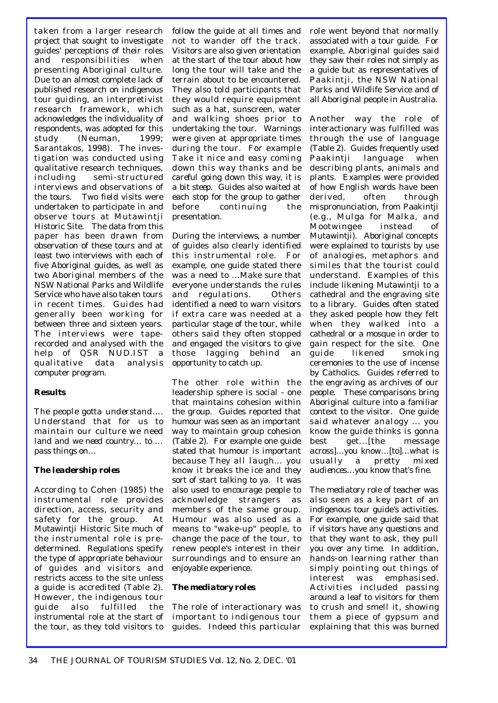taken from a larger research project that sought to investigate guides' perceptions of their roles and responsibilities when presenting Aboriginal culture. Due to an almost complete lack of published research on indigenous tour guiding, an interpretivist research framework, which acknowledges the individuality of respondents, was adopted for this study (Neuman, 1999; Sarantakos, 1998). The investigation was conducted using qualitative research techniques, including semi-structured interviews and observations of the tours. Two field visits were undertaken to participate in and observe tours at Mutawintji Historic Site. The data from this paper has been drawn from observation of these tours and at least two interviews with each of five Aboriginal guides, as well as two Aboriginal members of the NSW National Parks and Wildlife Service who have also taken tours in recent times. Guides had generally been working for between three and sixteen years. The interviews were taperecorded and analysed with the help of QSR NUD.IST a qualitative data analysis computer program.

#### **Results**

*The people gotta understand…. Understand that for us to maintain our culture we need land and we need country… to … pass things on…*

#### *The leadership roles*

According to Cohen (1985) the instrumental role provides direction, access, security and safety for the group. At Mutawintji Historic Site much of the instrumental role is predetermined. Regulations specify the type of appropriate behaviour of guides and visitors and restricts access to the site unless a guide is accredited (Table 2). However, the indigenous tour guide also fulfilled the instrumental role at the start of the tour, as they told visitors to

follow the guide at all times and not to wander off the track. Visitors are also given orientation at the start of the tour about how long the tour will take and the terrain about to be encountered. They also told participants that they would require equipment such as a hat, sunscreen, water and walking shoes prior to undertaking the tour. Warnings were given at appropriate times during the tour. For example *Take it nice and easy coming down this way thanks* and *be careful going down this way, it is a bit steep*. Guides also waited at each stop for the group to gather before continuing the presentation.

During the interviews, a number of guides also clearly identified this instrumental role. For example, one guide stated there was a need to *…Make sure that everyone understands the rules and regulations.* Others identified a need to warn visitors if extra care was needed at a particular stage of the tour, while others said they often stopped and engaged the visitors to give those lagging behind an opportunity to catch up.

The other role within the leadership sphere is social - one that maintains cohesion within the group. Guides reported that humour was seen as an important way to maintain group cohesion (Table 2). For example one guide stated that humour is important because *They all laugh… you know it breaks the ice and they sort of start talking to ya*. It was also used to encourage people to acknowledge strangers as members of the same group. Humour was also used as a means to "wake-up" people, to change the pace of the tour, to renew people's interest in their surroundings and to ensure an enjoyable experience.

#### *The mediatory roles*

The role of interactionary was important to indigenous tour guides. Indeed this particular role went beyond that normally associated with a tour guide. For example, Aboriginal guides said they saw their roles not simply as a guide but as representatives of Paakintji, the NSW National Parks and Wildlife Service and of all Aboriginal people in Australia.

Another way the role of interactionary was fulfilled was through the use of language (Table 2). Guides frequently used Paakintji language when describing plants, animals and plants. Examples were provided of how English words have been derived, often through mispronunciation, from Paakintji (e.g., Mulga for Malka, and Mootwingee instead of Mutawintji). Aboriginal concepts were explained to tourists by use of analogies, metaphors and similes that the tourist could understand. Examples of this include likening Mutawintji to a cathedral and the engraving site to a library. Guides often stated they asked people how they felt when they walked into a cathedral or a mosque in order to gain respect for the site. One guide likened smoking ceremonies to the use of incense by Catholics. Guides referred to the engraving as *archives of our people*. These comparisons bring Aboriginal culture into a familiar context to the visitor. One guide said *whatever analogy ... you know the guide thinks is gonna best get...[the message across]…you know…[to]…what is usually a pretty mixed audiences…you know that's fine.*

The mediatory role of teacher was also seen as a key part of an indigenous tour guide's activities. For example, one guide said *that if visitors have any questions and that they want to ask, they pull you over any time.* In addition, hands-on learning rather than simply pointing out things of interest was emphasised. Activities included passing around a leaf to visitors for them to crush and smell it, showing them a piece of gypsum and explaining that this was burned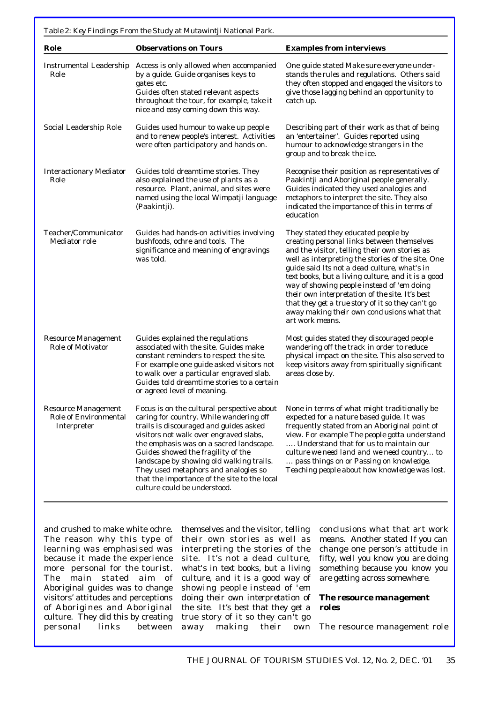*Table 2: Key Findings From the Study at Mutawintji National Park.*

| Role                                                        | <b>Observations on Tours</b>                                                                                                                                                                                                                                                                                                                                                                                                   | <b>Examples from interviews</b>                                                                                                                                                                                                                                                                                                                                                                                                                                                                                       |
|-------------------------------------------------------------|--------------------------------------------------------------------------------------------------------------------------------------------------------------------------------------------------------------------------------------------------------------------------------------------------------------------------------------------------------------------------------------------------------------------------------|-----------------------------------------------------------------------------------------------------------------------------------------------------------------------------------------------------------------------------------------------------------------------------------------------------------------------------------------------------------------------------------------------------------------------------------------------------------------------------------------------------------------------|
| Instrumental Leadership<br>Role                             | Access is only allowed when accompanied<br>by a guide. Guide organises keys to<br>gates etc.<br>Guides often stated relevant aspects<br>throughout the tour, for example, take it<br>nice and easy coming down this way.                                                                                                                                                                                                       | One guide stated Make sure everyone under-<br>stands the rules and regulations. Others said<br>they often stopped and engaged the visitors to<br>give those lagging behind an opportunity to<br>catch up.                                                                                                                                                                                                                                                                                                             |
| Social Leadership Role                                      | Guides used humour to wake up people<br>and to renew people's interest. Activities<br>were often participatory and hands on.                                                                                                                                                                                                                                                                                                   | Describing part of their work as that of being<br>an 'entertainer'. Guides reported using<br>humour to acknowledge strangers in the<br>group and to break the ice.                                                                                                                                                                                                                                                                                                                                                    |
| <b>Interactionary Mediator</b><br>Role                      | Guides told dreamtime stories. They<br>also explained the use of plants as a<br>resource. Plant, animal, and sites were<br>named using the local Wimpatji language<br>(Paakintji).                                                                                                                                                                                                                                             | Recognise their position as representatives of<br>Paakintji and Aboriginal people generally.<br>Guides indicated they used analogies and<br>metaphors to interpret the site. They also<br>indicated the importance of this in terms of<br>education                                                                                                                                                                                                                                                                   |
| Teacher/Communicator<br>Mediator role                       | Guides had hands-on activities involving<br>bushfoods, ochre and tools. The<br>significance and meaning of engravings<br>was told.                                                                                                                                                                                                                                                                                             | They stated they educated people by<br>creating personal links between themselves<br>and the visitor, telling their own stories as<br>well as interpreting the stories of the site. One<br>guide said Its not a dead culture, what's in<br>text books, but a living culture, and it is a good<br>way of showing people instead of 'em doing<br>their own interpretation of the site. It's best<br>that they get a true story of it so they can't go<br>away making their own conclusions what that<br>art work means. |
| Resource Management<br>Role of Motivator                    | Guides explained the regulations<br>associated with the site. Guides make<br>constant reminders to respect the site.<br>For example one guide asked visitors not<br>to walk over a particular engraved slab.<br>Guides told dreamtime stories to a certain<br>or agreed level of meaning.                                                                                                                                      | Most guides stated they discouraged people<br>wandering off the track in order to reduce<br>physical impact on the site. This also served to<br>keep visitors away from spiritually significant<br>areas close by.                                                                                                                                                                                                                                                                                                    |
| Resource Management<br>Role of Environmental<br>Interpreter | Focus is on the cultural perspective about<br>caring for country. While wandering off<br>trails is discouraged and guides asked<br>visitors not walk over engraved slabs,<br>the emphasis was on a sacred landscape.<br>Guides showed the fragility of the<br>landscape by showing old walking trails.<br>They used metaphors and analogies so<br>that the importance of the site to the local<br>culture could be understood. | None in terms of what might traditionally be<br>expected for a nature based guide. It was<br>frequently stated from an Aboriginal point of<br>view. For example The people gotta understand<br>Understand that for us to maintain our<br>culture we need land and we need country to<br>pass things on or Passing on knowledge.<br>Teaching people about how knowledge was lost.                                                                                                                                      |

and crushed to make white ochre. The reason why this type of learning was emphasised was because it made the experience more personal for the tourist. The main stated aim of Aboriginal guides was to change visitors' attitudes and perceptions of Aborigines and Aboriginal culture. They did this by creating personal links between themselves and the visitor, telling their own stories as well as interpreting the stories of the site. *It's not a dead culture, what's in text books, but a living culture, and it is a good way of showing people instead of 'em doing their own interpretation of the site. It's best that they get a true story of it so they can't go away making their own*

*conclusions what that art work means.* Another stated *If you can change one person's attitude in fifty, well you know you are doing something because you know you are getting across somewhere*.

#### *The resource management roles*

The resource management role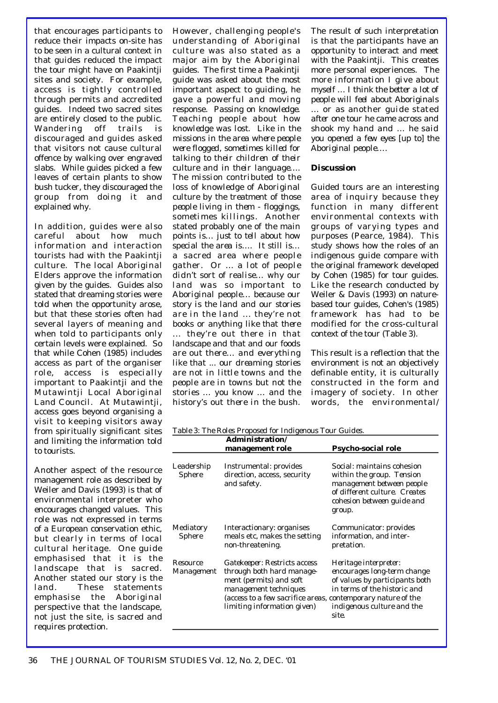that encourages participants to reduce their impacts on-site has to be seen in a cultural context in that guides reduced the impact the tour might have on Paakintji sites and society. For example, access is tightly controlled through permits and accredited guides. Indeed two sacred sites are entirely closed to the public. Wandering off trails is discouraged and guides asked that visitors not cause cultural offence by walking over engraved slabs. While guides picked a few leaves of certain plants to show bush tucker, they discouraged the group from doing it and explained why.

In addition, guides were also careful about how much information and interaction tourists had with the Paakintji culture. The local Aboriginal Elders approve the information given by the guides. Guides also stated that dreaming stories were told when the opportunity arose, but that these stories often had several layers of meaning and when told to participants only certain levels were explained. So that while Cohen (1985) includes access as part of the organiser role, access is especially important to Paakintji and the Mutawintji Local Aboriginal Land Council. At Mutawintji, access goes beyond organising a visit to keeping visitors away from spiritually significant sites and limiting the information told to tourists.

Another aspect of the resource management role as described by Weiler and Davis (1993) is that of environmental interpreter who encourages changed values. This role was not expressed in terms of a European conservation ethic, but clearly in terms of local cultural heritage. One guide emphasised that *it is the landscape that is sacred*. Another stated *our story is the land.* These statements emphasise the Aboriginal perspective that the landscape, not just the site, is sacred and requires protection.

However, challenging people's understanding of Aboriginal culture was also stated as a major aim by the Aboriginal guides. The first time a Paakintji guide was asked about the most important aspect to guiding, he gave a powerful and moving response. *Passing on knowledge. Teaching people about how knowledge was lost. Like in the missions in the area where people were flogged, sometimes killed for talking to their children of their culture and in their language…. The mission contributed to the loss of knowledge of Aboriginal culture by the treatment of those people living in them - floggings, sometimes killings.* Another stated *probably one of the main points is… just to tell about how special the area is…. It still is… a sacred area where people g a t h e r .* Or *… a lot of people didn't sort of realise… why our land was so important to Aboriginal people… because our story is the land and our stories are in the land ... they're not books or anything like that there ... they're out there in that landscape and that and our foods are out there… and everything like that ... our dreaming stories are not in little towns and the people are in towns but not the stories … you know … and the history's out there in the bush.*

The result of such interpretation is that the participants have an opportunity to interact and meet with the Paakintji. This creates more personal experiences. *The more information I give about myself … I think the better a lot of people will feel about Aboriginals* … or as another guide stated *after one tour he came across and shook my hand and … he said you opened a few eyes [up to] the Aboriginal people…*.

#### *Discussion*

Guided tours are an interesting area of inquiry because they function in many different environmental contexts with groups of varying types and purposes (Pearce, 1984). This study shows how the roles of an indigenous guide compare with the original framework developed by Cohen (1985) for tour guides. Like the research conducted by Weiler & Davis (1993) on naturebased tour guides, Cohen's (1985) framework has had to be modified for the cross-cultural context of the tour (Table 3).

This result is a reflection that the environment is not an objectively definable entity, it is culturally constructed in the form and imagery of society. In other words, the environmental/

*Table 3: The Roles Proposed for Indigenous Tour Guides.* 

|                        | Administration/<br>management role                                                                                                                                                                                  | <b>Psycho-social role</b>                                                                                                                                     |
|------------------------|---------------------------------------------------------------------------------------------------------------------------------------------------------------------------------------------------------------------|---------------------------------------------------------------------------------------------------------------------------------------------------------------|
| Leadership<br>Sphere   | Instrumental: provides<br>direction, access, security<br>and safety.                                                                                                                                                | Social: maintains cohesion<br>within the group. Tension<br>management between people<br>of different culture. Creates<br>cohesion between guide and<br>group. |
| Mediatory<br>Sphere    | Interactionary: organises<br>meals etc, makes the setting<br>non-threatening.                                                                                                                                       | Communicator: provides<br>information, and inter-<br>pretation.                                                                                               |
| Resource<br>Management | <i>Gatekeeper: Restricts access</i><br>through both hard manage-<br>ment (permits) and soft<br>management techniques<br>(access to a few sacrifice areas, contemporary nature of the<br>limiting information given) | Heritage interpreter:<br>encourages long-term change<br>of values by participants both<br>in terms of the historic and<br>indigenous culture and the<br>site. |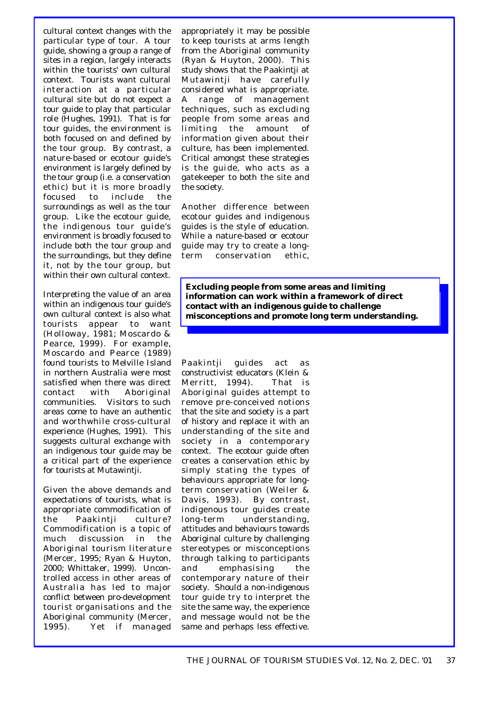cultural context changes with the particular type of tour. A tour guide, showing a group a range of sites in a region, largely interacts within the tourists' own cultural context. Tourists want cultural interaction at a particular cultural site but do not expect a tour guide to play that particular role (Hughes, 1991). That is for tour guides, the environment is both focused on and defined by the tour group. By contrast, a nature-based or ecotour guide's environment is largely defined by the tour group (i.e. a conservation ethic) but it is more broadly focused to include the surroundings as well as the tour group. Like the ecotour guide, the indigenous tour guide's environment is broadly focused to include both the tour group and the surroundings, but they define it, not by the tour group, but within their own cultural context.

Interpreting the value of an area within an indigenous tour guide's own cultural context is also what tourists appear to want (Holloway, 1981; Moscardo & Pearce, 1999). For example, Moscardo and Pearce (1989) found tourists to Melville Island in northern Australia were most satisfied when there was direct contact with Aboriginal communities. Visitors to such areas come to have an authentic and worthwhile cross-cultural experience (Hughes, 1991). This suggests cultural exchange with an indigenous tour guide may be a critical part of the experience for tourists at Mutawintji.

Given the above demands and expectations of tourists, what is appropriate commodification of the Paakintji culture? Commodification is a topic of much discussion in the Aboriginal tourism literature (Mercer, 1995; Ryan & Huyton, 2000; Whittaker, 1999). Uncontrolled access in other areas of Australia has led to major conflict between pro-development tourist organisations and the Aboriginal community (Mercer, 1995). Yet if managed appropriately it may be possible to keep tourists at arms length from the Aboriginal community (Ryan & Huyton, 2000). This study shows that the Paakintji at Mutawintji have carefully considered what is appropriate. A range of management techniques, such as excluding people from some areas and limiting the amount of information given about their culture, has been implemented. Critical amongst these strategies is the guide, who acts as a gatekeeper to both the site and the society.

Another difference between ecotour guides and indigenous guides is the style of education. While a nature-based or ecotour guide may try to create a longterm conservation ethic,

**Excluding people from some areas and limiting information can work within a framework of direct contact with an indigenous guide to challenge misconceptions and promote long term understanding.**

Paakintji guides act as constructivist educators (Klein & Merritt, 1994). That is Aboriginal guides attempt to remove pre-conceived notions that the site and society is a part of history and replace it with an understanding of the site and society in a contemporary context. The ecotour guide often creates a conservation ethic by simply stating the types of behaviours appropriate for longterm conservation (Weiler & Davis, 1993). By contrast, indigenous tour guides create long-term understanding, attitudes and behaviours towards Aboriginal culture by challenging stereotypes or misconceptions through talking to participants and emphasising the contemporary nature of their society. Should a non-indigenous tour guide try to interpret the site the same way, the experience and message would not be the same and perhaps less effective.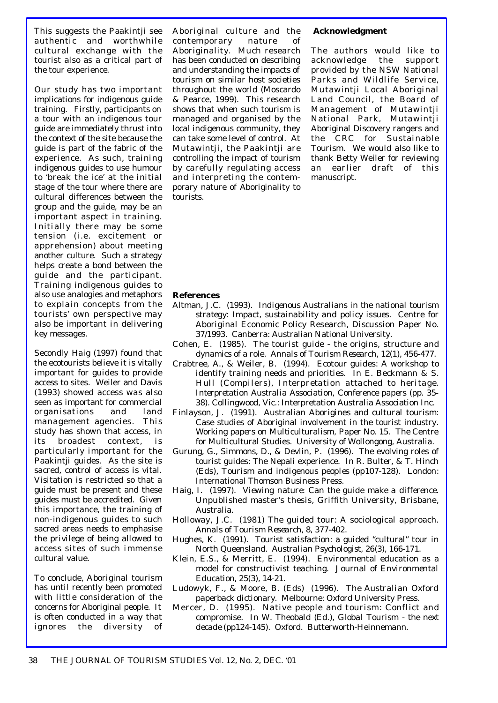This suggests the Paakintji see authentic and worthwhile cultural exchange with the tourist also as a critical part of the tour experience.

Our study has two important implications for indigenous guide training. Firstly, participants on a tour with an indigenous tour guide are immediately thrust into the context of the site because the guide is part of the fabric of the experience. As such, training indigenous guides to use humour to 'break the ice' at the initial stage of the tour where there are cultural differences between the group and the guide, may be an important aspect in training. Initially there may be some tension (i.e. excitement or apprehension) about meeting another culture. Such a strategy helps create a bond between the guide and the participant. Training indigenous guides to also use analogies and metaphors to explain concepts from the tourists' own perspective may also be important in delivering key messages.

Secondly Haig (1997) found that the ecotourists believe it is vitally important for guides to provide access to sites. Weiler and Davis (1993) showed access was also seen as important for commercial organisations and land management agencies. This study has shown that access, in its broadest context, is particularly important for the Paakintji guides. As the site is sacred, control of access is vital. Visitation is restricted so that a guide must be present and these guides must be accredited. Given this importance, the training of non-indigenous guides to such sacred areas needs to emphasise the privilege of being allowed to access sites of such immense cultural value.

To conclude, Aboriginal tourism has until recently been promoted with little consideration of the concerns for Aboriginal people. It is often conducted in a way that ignores the diversity of

Aboriginal culture and the contemporary nature of Aboriginality. Much research has been conducted on describing and understanding the impacts of tourism on similar host societies throughout the world (Moscardo & Pearce, 1999). This research shows that when such tourism is managed and organised by the local indigenous community, they can take some level of control. At Mutawintji, the Paakintji are controlling the impact of tourism by carefully regulating access and interpreting the contemporary nature of Aboriginality to tourists.

#### **Acknowledgment**

The authors would like to acknowledge the support provided by the NSW National Parks and Wildlife Service, Mutawintji Local Aboriginal Land Council, the Board of Management of Mutawintji National Park, Mutawintji Aboriginal Discovery rangers and the CRC for Sustainable Tourism. We would also like to thank Betty Weiler for reviewing an earlier draft of this manuscript.

#### **References**

- Altman, J.C. (1993). *Indigenous Australians in the national tourism strategy: Impact, sustainability and policy issues.* Centre for Aboriginal Economic Policy Research, Discussion Paper No. 37/1993. Canberra: Australian National University.
- Cohen, E. (1985). The tourist guide the origins, structure and dynamics of a role. *Annals of Tourism Research, 12*(1), 456-477.
- Crabtree, A., & Weiler, B. (1994). Ecotour guides: A workshop to identify training needs and priorities. In E. Beckmann & S. Hull (Compilers), *Interpretation attached to heritage. Interpretation Australia Association, Conference papers* (pp. 35- 38). Collingwood, Vic.: Interpretation Australia Association Inc.
- Finlayson, J. (1991). Australian Aborigines and cultural tourism: Case studies of Aboriginal involvement in the tourist industry. *Working papers on Multiculturalism, Paper No. 15.* The Centre for Multicultural Studies. University of Wollongong, Australia.
- Gurung, G., Simmons, D., & Devlin, P. (1996). The evolving roles of tourist guides: The Nepali experience. In R. Bulter, & T. Hinch (Eds), *Tourism and indigenous peoples* (pp107-128). London: International Thomson Business Press.
- Haig, I. (1997). *Viewing nature: Can the guide make a difference.* Unpublished master's thesis, Griffith University, Brisbane, Australia.
- Holloway, J.C. (1981) The guided tour: A sociological approach. *Annals of Tourism Research, 8*, 377-402.
- Hughes, K. (1991). Tourist satisfaction: a guided "cultural" tour in North Queensland. *Australian Psychologist, 26*(3), 166-171.
- Klein, E.S., & Merritt, E. (1994). Environmental education as a model for constructivist teaching. *Journal of Environmental Education, 25*(3), 14-21.
- Ludowyk, F., & Moore, B. (Eds) (1996). *The Australian Oxford paperback dictionary.* Melbourne: Oxford University Press.
- Mercer, D. (1995). Native people and tourism: Conflict and compromise. In W. Theobald (Ed.), *Global Tourism - the next decade* (pp124-145). Oxford. Butterworth-Heinnemann.